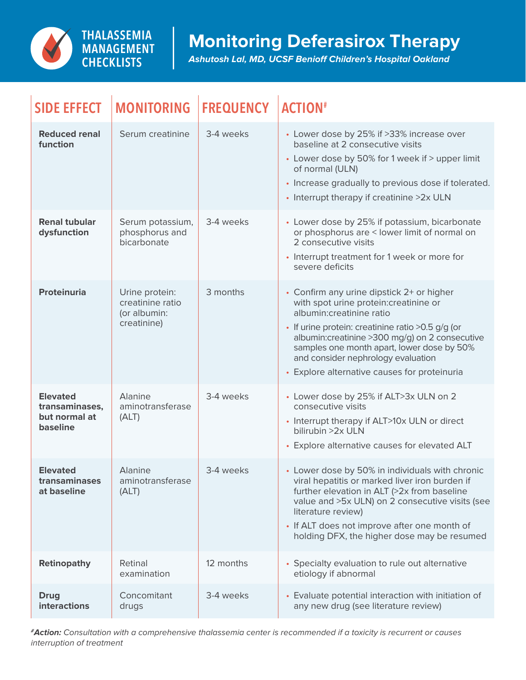

## **Monitoring Deferasirox Therapy**

*Ashutosh Lal, MD, UCSF Benioff Children's Hospital Oakland*

| <b>SIDE EFFECT</b>                                             | <b>MONITORING</b>                                                 | <b>FREQUENCY</b> | <b>ACTION#</b>                                                                                                                                                                                                                                                                                                                                                 |
|----------------------------------------------------------------|-------------------------------------------------------------------|------------------|----------------------------------------------------------------------------------------------------------------------------------------------------------------------------------------------------------------------------------------------------------------------------------------------------------------------------------------------------------------|
| <b>Reduced renal</b><br>function                               | Serum creatinine                                                  | 3-4 weeks        | • Lower dose by 25% if >33% increase over<br>baseline at 2 consecutive visits<br>• Lower dose by 50% for 1 week if > upper limit<br>of normal (ULN)<br>• Increase gradually to previous dose if tolerated.<br>• Interrupt therapy if creatinine >2x ULN                                                                                                        |
| <b>Renal tubular</b><br>dysfunction                            | Serum potassium,<br>phosphorus and<br>bicarbonate                 | 3-4 weeks        | • Lower dose by 25% if potassium, bicarbonate<br>or phosphorus are < lower limit of normal on<br>2 consecutive visits<br>• Interrupt treatment for 1 week or more for<br>severe deficits                                                                                                                                                                       |
| <b>Proteinuria</b>                                             | Urine protein:<br>creatinine ratio<br>(or albumin:<br>creatinine) | 3 months         | • Confirm any urine dipstick 2+ or higher<br>with spot urine protein: creatinine or<br>albumin: creatinine ratio<br>· If urine protein: creatinine ratio > 0.5 g/g (or<br>albumin: creatinine > 300 mg/g) on 2 consecutive<br>samples one month apart, lower dose by 50%<br>and consider nephrology evaluation<br>• Explore alternative causes for proteinuria |
| <b>Elevated</b><br>transaminases,<br>but normal at<br>baseline | Alanine<br>aminotransferase<br>(ALT)                              | 3-4 weeks        | • Lower dose by 25% if ALT>3x ULN on 2<br>consecutive visits<br>• Interrupt therapy if ALT>10x ULN or direct<br>bilirubin >2x ULN<br>• Explore alternative causes for elevated ALT                                                                                                                                                                             |
| <b>Elevated</b><br>transaminases<br>at baseline                | Alanine<br>aminotransferase<br>(ALT)                              | 3-4 weeks        | • Lower dose by 50% in individuals with chronic<br>viral hepatitis or marked liver iron burden if<br>further elevation in ALT (>2x from baseline<br>value and >5x ULN) on 2 consecutive visits (see<br>literature review)<br>• If ALT does not improve after one month of<br>holding DFX, the higher dose may be resumed                                       |
| <b>Retinopathy</b>                                             | Retinal<br>examination                                            | 12 months        | • Specialty evaluation to rule out alternative<br>etiology if abnormal                                                                                                                                                                                                                                                                                         |
| <b>Drug</b><br>interactions                                    | Concomitant<br>drugs                                              | 3-4 weeks        | • Evaluate potential interaction with initiation of<br>any new drug (see literature review)                                                                                                                                                                                                                                                                    |

*#Action: Consultation with a comprehensive thalassemia center is recommended if a toxicity is recurrent or causes interruption of treatment*